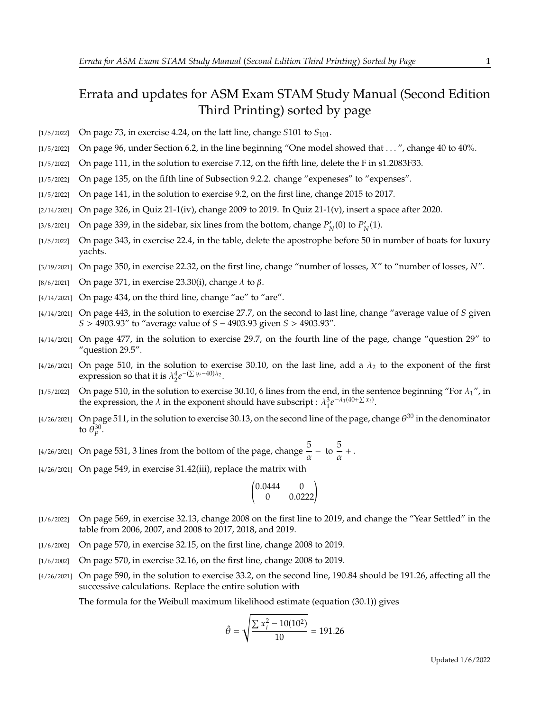## Errata and updates for ASM Exam STAM Study Manual (Second Edition Third Printing) sorted by page

- [1/5/2022] On page 73, in exercise 4.24, on the latt line, change  $S101$  to  $S_{101}$ .
- [1/5/2022] On page 96, under Section 6.2, in the line beginning "One model showed that . . . ", change 40 to 40%.
- [1/5/2022] On page 111, in the solution to exercise 7.12, on the fifth line, delete the F in s1.2083F33.
- [1/5/2022] On page 135, on the fifth line of Subsection 9.2.2. change "expeneses" to "expenses".
- [1/5/2022] On page 141, in the solution to exercise 9.2, on the first line, change 2015 to 2017.
- $[2/14/2021]$  On page 326, in Quiz 21-1(iv), change 2009 to 2019. In Quiz 21-1(v), insert a space after 2020.
- [3/8/2021] On page 339, in the sidebar, six lines from the bottom, change  $P'_N(0)$  to  $P'_N(1)$ .
- [1/5/2022] On page 343, in exercise 22.4, in the table, delete the apostrophe before 50 in number of boats for luxury yachts.
- [3/19/2021] On page 350, in exercise 22.32, on the first line, change "number of losses,  $X''$  to "number of losses,  $N''$ .
- [8/6/2021] On page 371, in exercise 23.30(i), change  $\lambda$  to  $\beta$ .
- $[4/14/2021]$  On page 434, on the third line, change "ae" to "are".
- $[4/14/2021]$  On page 443, in the solution to exercise 27.7, on the second to last line, change "average value of S given  $S > 4903.93''$  to "average value of  $S - 4903.93$  given  $S > 4903.93''$ .
- [4/14/2021] On page 477, in the solution to exercise 29.7, on the fourth line of the page, change "question 29" to "question 29.5".
- [4/26/2021] On page 510, in the solution to exercise 30.10, on the last line, add a  $\lambda_2$  to the exponent of the first expression so that it is  $\lambda_2^4 e$  $-(\sum y_i - 40)\lambda_2$ .
- [1/5/2022] On page 510, in the solution to exercise 30.10, 6 lines from the end, in the sentence beginning "For  $\lambda_1$ ", in the expression, the  $\lambda$  in the exponent should have subscript :  $\lambda_1^3 e$  $-\lambda_1(40+\sum x_i)$ .
- [4/26/2021] On page 511, in the solution to exercise 30.13, on the second line of the page, change  $\theta^{30}$  in the denominator to  $\bar{\theta}_p^{30}$ .
- [4/26/2021] On page 531, 3 lines from the bottom of the page, change  $\frac{5}{\alpha}$  to  $\frac{5}{\alpha}$  $\frac{\partial}{\partial x} +$ .
- [4/26/2021] On page 549, in exercise 31.42(iii), replace the matrix with

$$
\begin{pmatrix} 0.0444 & 0 \\ 0 & 0.0222 \end{pmatrix}
$$

- [1/6/2022] On page 569, in exercise 32.13, change 2008 on the first line to 2019, and change the "Year Settled" in the table from 2006, 2007, and 2008 to 2017, 2018, and 2019.
- [1/6/2002] On page 570, in exercise 32.15, on the first line, change 2008 to 2019.
- [1/6/2002] On page 570, in exercise 32.16, on the first line, change 2008 to 2019.
- [4/26/2021] On page 590, in the solution to exercise 33.2, on the second line, 190.84 should be 191.26, affecting all the successive calculations. Replace the entire solution with

The formula for the Weibull maximum likelihood estimate (equation (30.1)) gives

$$
\hat{\theta} = \sqrt{\frac{\sum x_i^2 - 10(10^2)}{10}} = 191.26
$$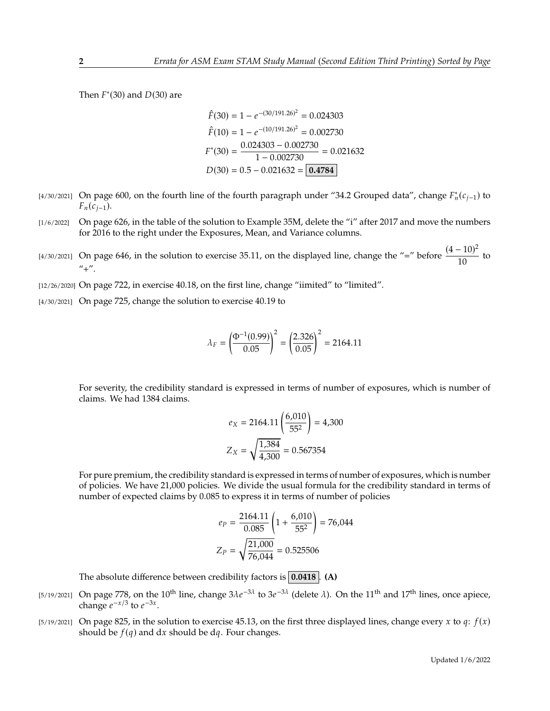Then  $F^*(30)$  and  $D(30)$  are

$$
\hat{F}(30) = 1 - e^{-(30/191.26)^2} = 0.024303
$$

$$
\hat{F}(10) = 1 - e^{-(10/191.26)^2} = 0.002730
$$

$$
F^*(30) = \frac{0.024303 - 0.002730}{1 - 0.002730} = 0.021632
$$

$$
D(30) = 0.5 - 0.021632 = \boxed{0.4784}
$$

- [4/30/2021] On page 600, on the fourth line of the fourth paragraph under "34.2 Grouped data", change  $F_n^*(c_{j-1})$  to  $F_n(c_{i-1}).$
- [1/6/2022] On page 626, in the table of the solution to Example 35M, delete the "i" after 2017 and move the numbers for 2016 to the right under the Exposures, Mean, and Variance columns.
- [4/30/2021] On page 646, in the solution to exercise 35.11, on the displayed line, change the "=" before  $\frac{(4-10)^2}{10}$  $\frac{1}{10}$  to  $"+''.$
- [12/26/2020] On page 722, in exercise 40.18, on the first line, change "iimited" to "limited".
- [4/30/2021] On page 725, change the solution to exercise 40.19 to

$$
\lambda_F = \left(\frac{\Phi^{-1}(0.99)}{0.05}\right)^2 = \left(\frac{2.326}{0.05}\right)^2 = 2164.11
$$

For severity, the credibility standard is expressed in terms of number of exposures, which is number of claims. We had 1384 claims.

$$
e_X = 2164.11 \left( \frac{6,010}{55^2} \right) = 4,300
$$

$$
Z_X = \sqrt{\frac{1,384}{4,300}} = 0.567354
$$

For pure premium, the credibility standard is expressed in terms of number of exposures, which is number of policies. We have 21,000 policies. We divide the usual formula for the credibility standard in terms of number of expected claims by 0.085 to express it in terms of number of policies

$$
e_P = \frac{2164.11}{0.085} \left( 1 + \frac{6,010}{55^2} \right) = 76,044
$$

$$
Z_P = \sqrt{\frac{21,000}{76,044}} = 0.525506
$$

The absolute difference between credibility factors is **0.0418** . **(A)**

- [5/19/2021] On page 778, on the 10<sup>th</sup> line, change  $3\lambda e^{-3\lambda}$  to  $3e^{-3\lambda}$  (delete  $\lambda$ ). On the 11<sup>th</sup> and 17<sup>th</sup> lines, once apiece, change  $e^{-x/3}$  to  $e^{-3x}$ change  $e^{-x/3}$  to  $e^{-3x}$ .
- [5/19/2021] On page 825, in the solution to exercise 45.13, on the first three displayed lines, change every x to q:  $f(x)$ should be  $f(q)$  and dx should be dq. Four changes.